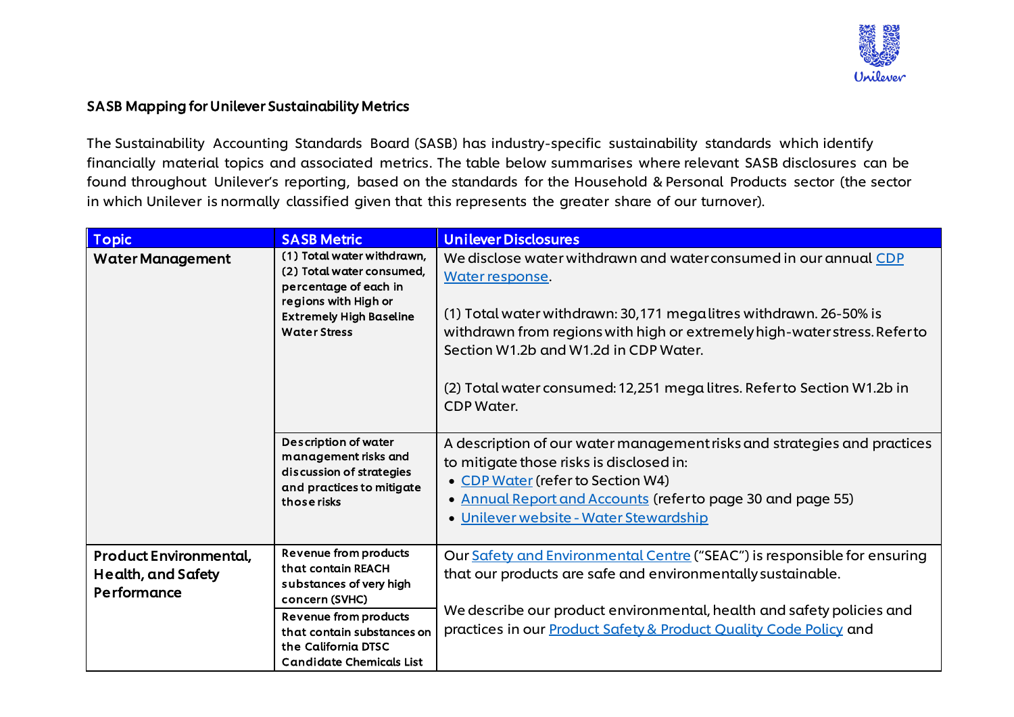

## SASB Mapping for Unilever Sustainability Metrics

The Sustainability Accounting Standards Board (SASB) has industry-specific sustainability standards which identify financially material topics and associated metrics. The table below summarises where relevant SASB disclosures can be found throughout Unilever's reporting, based on the standards for the Household & Personal Products sector (the sector in which Unilever is normally classified given that this represents the greater share of our turnover).

| <b>Topic</b>                                                       | <b>SASB Metric</b>                                                                                                                                                                                                      | <b>Unilever Disclosures</b>                                                                                                                                                                                                                                                                                                                                             |
|--------------------------------------------------------------------|-------------------------------------------------------------------------------------------------------------------------------------------------------------------------------------------------------------------------|-------------------------------------------------------------------------------------------------------------------------------------------------------------------------------------------------------------------------------------------------------------------------------------------------------------------------------------------------------------------------|
| <b>Water Management</b>                                            | (1) Total water withdrawn,<br>(2) Total water consumed,<br>percentage of each in<br>regions with High or<br><b>Extremely High Baseline</b><br><b>Water Stress</b>                                                       | We disclose water withdrawn and water consumed in our annual CDP<br>Water response.<br>(1) Total water withdrawn: 30,171 megalitres withdrawn. 26-50% is<br>withdrawn from regions with high or extremely high-water stress. Refer to<br>Section W1.2b and W1.2d in CDP Water.<br>(2) Total water consumed: 12,251 mega litres. Refer to Section W1.2b in<br>CDP Water. |
|                                                                    | <b>Description of water</b><br>management risks and<br>discussion of strategies<br>and practices to mitigate<br>those risks                                                                                             | A description of our water management risks and strategies and practices<br>to mitigate those risks is disclosed in:<br>• CDP Water (refer to Section W4)<br>• Annual Report and Accounts (refer to page 30 and page 55)<br>• Unilever website - Water Stewardship                                                                                                      |
| <b>Product Environmental,</b><br>Health, and Safety<br>Performance | <b>Revenue from products</b><br>that contain REACH<br>substances of very high<br>concern (SVHC)<br><b>Revenue from products</b><br>that contain substances on<br>the California DTSC<br><b>Candidate Chemicals List</b> | Our Safety and Environmental Centre ("SEAC") is responsible for ensuring<br>that our products are safe and environmentally sustainable.<br>We describe our product environmental, health and safety policies and<br>practices in our <b>Product Safety &amp; Product Quality Code Policy</b> and                                                                        |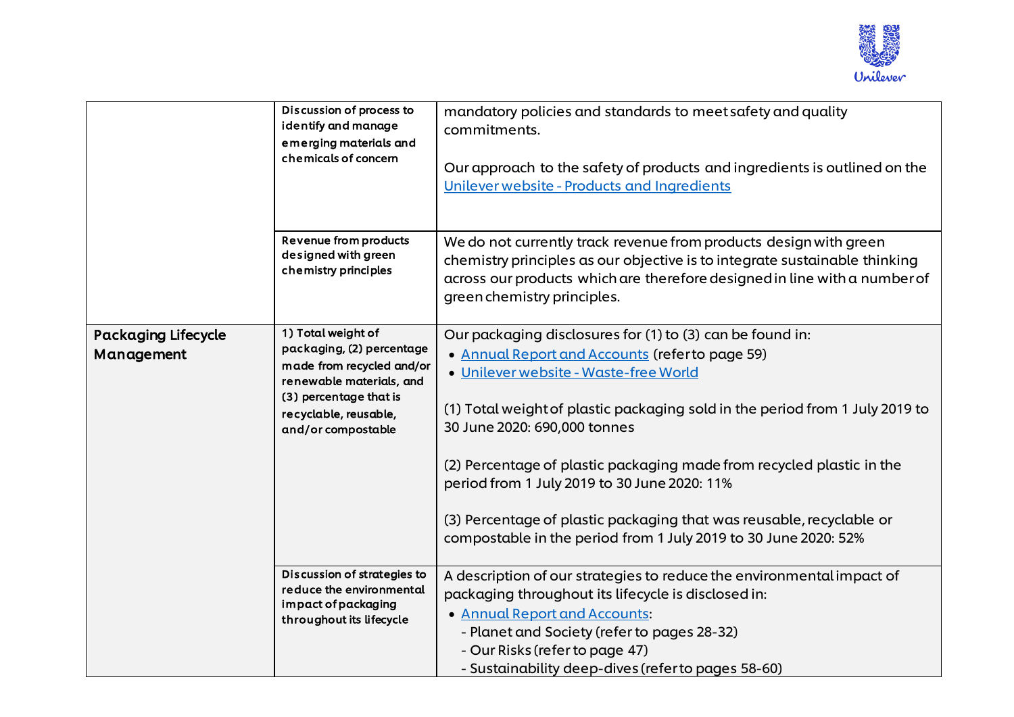

|                                          | Discussion of process to<br>identify and manage<br>emerging materials and<br>chemicals of concern                                                                                 | mandatory policies and standards to meet safety and quality<br>commitments.<br>Our approach to the safety of products and ingredients is outlined on the<br>Unilever website - Products and Ingredients                                                                                                                                                                                                                                                                                                                                   |
|------------------------------------------|-----------------------------------------------------------------------------------------------------------------------------------------------------------------------------------|-------------------------------------------------------------------------------------------------------------------------------------------------------------------------------------------------------------------------------------------------------------------------------------------------------------------------------------------------------------------------------------------------------------------------------------------------------------------------------------------------------------------------------------------|
|                                          | <b>Revenue from products</b><br>designed with green<br>chemistry principles                                                                                                       | We do not currently track revenue from products design with green<br>chemistry principles as our objective is to integrate sustainable thinking<br>across our products which are therefore designed in line with a number of<br>green chemistry principles.                                                                                                                                                                                                                                                                               |
| <b>Packaging Lifecycle</b><br>Management | 1) Total weight of<br>packaging, (2) percentage<br>made from recycled and/or<br>renewable materials, and<br>(3) percentage that is<br>recyclable, reusable,<br>and/or compostable | Our packaging disclosures for (1) to (3) can be found in:<br>• Annual Report and Accounts (refer to page 59)<br>· Unilever website - Waste-free World<br>(1) Total weight of plastic packaging sold in the period from 1 July 2019 to<br>30 June 2020: 690,000 tonnes<br>(2) Percentage of plastic packaging made from recycled plastic in the<br>period from 1 July 2019 to 30 June 2020: 11%<br>(3) Percentage of plastic packaging that was reusable, recyclable or<br>compostable in the period from 1 July 2019 to 30 June 2020: 52% |
|                                          | Discussion of strategies to<br>reduce the environmental<br>impact of packaging<br>throughout its lifecycle                                                                        | A description of our strategies to reduce the environmental impact of<br>packaging throughout its lifecycle is disclosed in:<br>• Annual Report and Accounts:<br>- Planet and Society (refer to pages 28-32)<br>- Our Risks (refer to page 47)<br>- Sustainability deep-dives (referto pages 58-60)                                                                                                                                                                                                                                       |